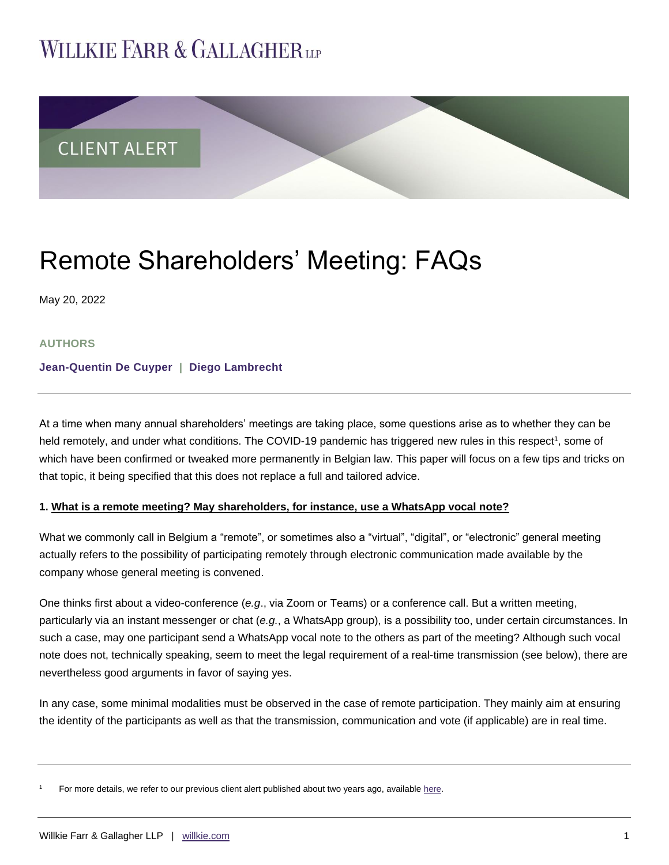# **WILLKIE FARR & GALLAGHERUP**



# Remote Shareholders' Meeting: FAQs

May 20, 2022

### **AUTHORS**

### **[Jean-Quentin De Cuyper](https://www.willkie.com/professionals/d/de-cuyper-jeanquentin) | [Diego Lambrecht](https://www.willkie.com/professionals/l/lambrecht-diego)**

At a time when many annual shareholders' meetings are taking place, some questions arise as to whether they can be held remotely, and under what conditions. The COVID-19 pandemic has triggered new rules in this respect<sup>1</sup>, some of which have been confirmed or tweaked more permanently in Belgian law. This paper will focus on a few tips and tricks on that topic, it being specified that this does not replace a full and tailored advice.

### **1. What is a remote meeting? May shareholders, for instance, use a WhatsApp vocal note?**

What we commonly call in Belgium a "remote", or sometimes also a "virtual", "digital", or "electronic" general meeting actually refers to the possibility of participating remotely through electronic communication made available by the company whose general meeting is convened.

One thinks first about a video-conference (*e.g*., via Zoom or Teams) or a conference call. But a written meeting, particularly via an instant messenger or chat (*e.g.*, a WhatsApp group), is a possibility too, under certain circumstances. In such a case, may one participant send a WhatsApp vocal note to the others as part of the meeting? Although such vocal note does not, technically speaking, seem to meet the legal requirement of a real-time transmission (see below), there are nevertheless good arguments in favor of saying yes.

In any case, some minimal modalities must be observed in the case of remote participation. They mainly aim at ensuring the identity of the participants as well as that the transmission, communication and vote (if applicable) are in real time.

<sup>1</sup> For more details, we refer to our previous client alert published about two years ago, available [here.](https://www.willkie.com/-/media/files/publications/2020/04/moreflexibilityforshareholdersandboardmeetingsduri.pdf)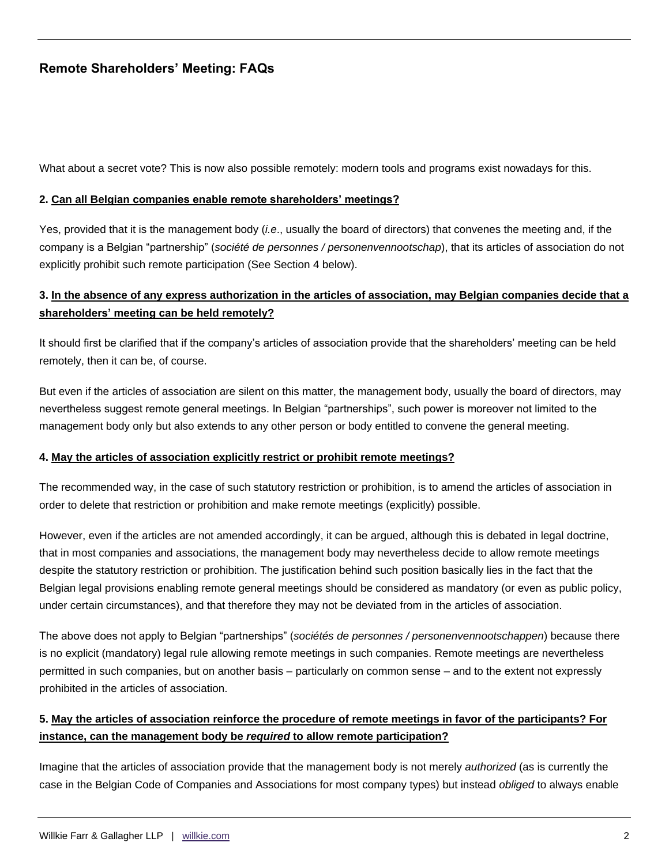What about a secret vote? This is now also possible remotely: modern tools and programs exist nowadays for this.

#### **2. Can all Belgian companies enable remote shareholders' meetings?**

Yes, provided that it is the management body (*i.e*., usually the board of directors) that convenes the meeting and, if the company is a Belgian "partnership" (*société de personnes / personenvennootschap*), that its articles of association do not explicitly prohibit such remote participation (See Section 4 below).

## **3. In the absence of any express authorization in the articles of association, may Belgian companies decide that a shareholders' meeting can be held remotely?**

It should first be clarified that if the company's articles of association provide that the shareholders' meeting can be held remotely, then it can be, of course.

But even if the articles of association are silent on this matter, the management body, usually the board of directors, may nevertheless suggest remote general meetings. In Belgian "partnerships", such power is moreover not limited to the management body only but also extends to any other person or body entitled to convene the general meeting.

#### **4. May the articles of association explicitly restrict or prohibit remote meetings?**

The recommended way, in the case of such statutory restriction or prohibition, is to amend the articles of association in order to delete that restriction or prohibition and make remote meetings (explicitly) possible.

However, even if the articles are not amended accordingly, it can be argued, although this is debated in legal doctrine, that in most companies and associations, the management body may nevertheless decide to allow remote meetings despite the statutory restriction or prohibition. The justification behind such position basically lies in the fact that the Belgian legal provisions enabling remote general meetings should be considered as mandatory (or even as public policy, under certain circumstances), and that therefore they may not be deviated from in the articles of association.

The above does not apply to Belgian "partnerships" (*sociétés de personnes / personenvennootschappen*) because there is no explicit (mandatory) legal rule allowing remote meetings in such companies. Remote meetings are nevertheless permitted in such companies, but on another basis – particularly on common sense – and to the extent not expressly prohibited in the articles of association.

## **5. May the articles of association reinforce the procedure of remote meetings in favor of the participants? For instance, can the management body be** *required* **to allow remote participation?**

Imagine that the articles of association provide that the management body is not merely *authorized* (as is currently the case in the Belgian Code of Companies and Associations for most company types) but instead *obliged* to always enable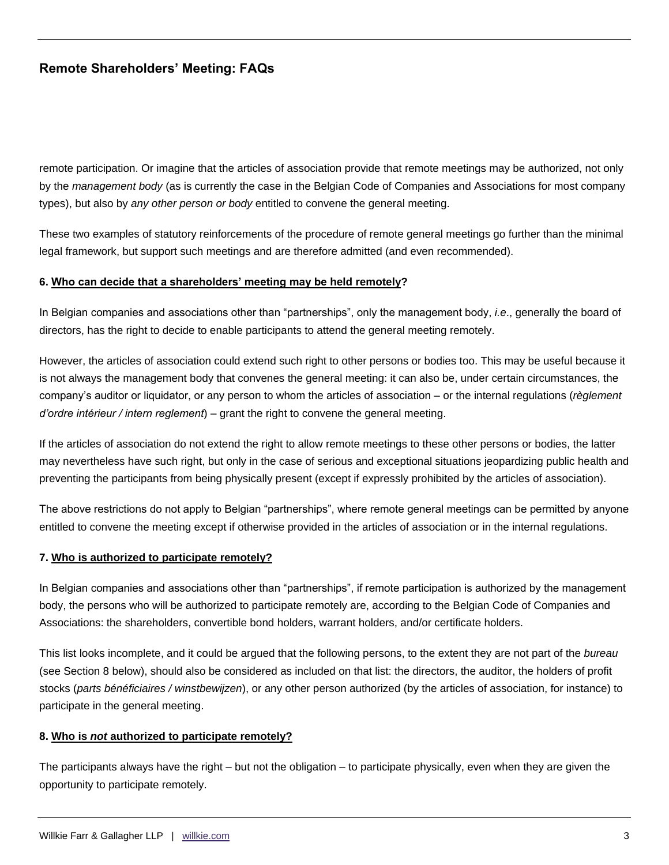remote participation. Or imagine that the articles of association provide that remote meetings may be authorized, not only by the *management body* (as is currently the case in the Belgian Code of Companies and Associations for most company types), but also by *any other person or body* entitled to convene the general meeting.

These two examples of statutory reinforcements of the procedure of remote general meetings go further than the minimal legal framework, but support such meetings and are therefore admitted (and even recommended).

#### **6. Who can decide that a shareholders' meeting may be held remotely?**

In Belgian companies and associations other than "partnerships", only the management body, *i.e*., generally the board of directors, has the right to decide to enable participants to attend the general meeting remotely.

However, the articles of association could extend such right to other persons or bodies too. This may be useful because it is not always the management body that convenes the general meeting: it can also be, under certain circumstances, the company's auditor or liquidator, or any person to whom the articles of association – or the internal regulations (*règlement d'ordre intérieur / intern reglement*) – grant the right to convene the general meeting.

If the articles of association do not extend the right to allow remote meetings to these other persons or bodies, the latter may nevertheless have such right, but only in the case of serious and exceptional situations jeopardizing public health and preventing the participants from being physically present (except if expressly prohibited by the articles of association).

The above restrictions do not apply to Belgian "partnerships", where remote general meetings can be permitted by anyone entitled to convene the meeting except if otherwise provided in the articles of association or in the internal regulations.

#### **7. Who is authorized to participate remotely?**

In Belgian companies and associations other than "partnerships", if remote participation is authorized by the management body, the persons who will be authorized to participate remotely are, according to the Belgian Code of Companies and Associations: the shareholders, convertible bond holders, warrant holders, and/or certificate holders.

This list looks incomplete, and it could be argued that the following persons, to the extent they are not part of the *bureau* (see Section 8 below), should also be considered as included on that list: the directors, the auditor, the holders of profit stocks (*parts bénéficiaires / winstbewijzen*), or any other person authorized (by the articles of association, for instance) to participate in the general meeting.

#### **8. Who is** *not* **authorized to participate remotely?**

The participants always have the right – but not the obligation – to participate physically, even when they are given the opportunity to participate remotely.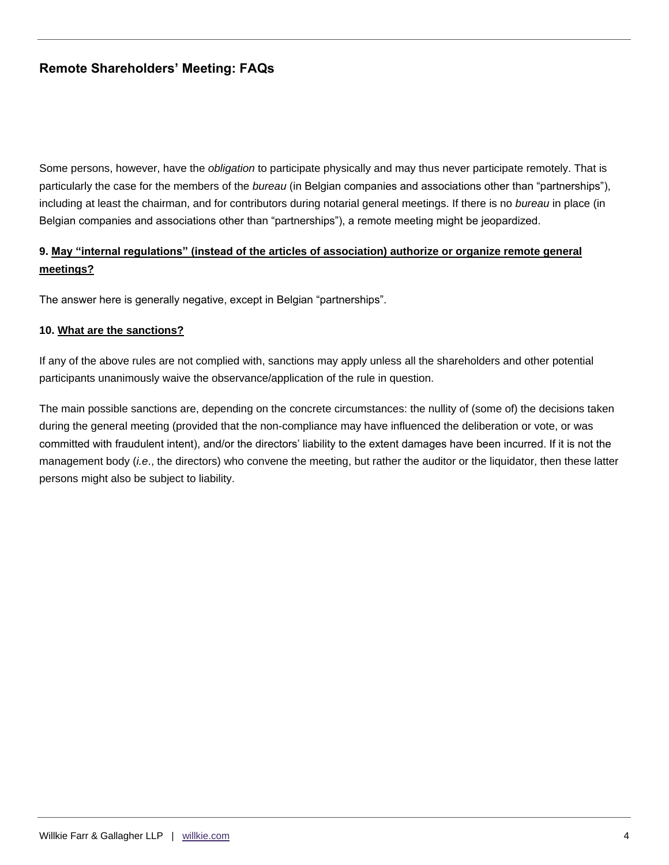Some persons, however, have the *obligation* to participate physically and may thus never participate remotely. That is particularly the case for the members of the *bureau* (in Belgian companies and associations other than "partnerships"), including at least the chairman, and for contributors during notarial general meetings. If there is no *bureau* in place (in Belgian companies and associations other than "partnerships"), a remote meeting might be jeopardized.

## **9. May "internal regulations" (instead of the articles of association) authorize or organize remote general meetings?**

The answer here is generally negative, except in Belgian "partnerships".

### **10. What are the sanctions?**

If any of the above rules are not complied with, sanctions may apply unless all the shareholders and other potential participants unanimously waive the observance/application of the rule in question.

The main possible sanctions are, depending on the concrete circumstances: the nullity of (some of) the decisions taken during the general meeting (provided that the non-compliance may have influenced the deliberation or vote, or was committed with fraudulent intent), and/or the directors' liability to the extent damages have been incurred. If it is not the management body (*i.e*., the directors) who convene the meeting, but rather the auditor or the liquidator, then these latter persons might also be subject to liability.